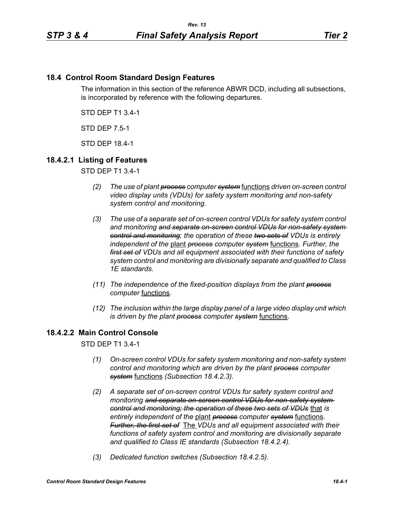# **18.4 Control Room Standard Design Features**

The information in this section of the reference ABWR DCD, including all subsections, is incorporated by reference with the following departures.

STD DEP T1 3.4-1

STD DEP 7.5-1

STD DEP 18.4-1

## **18.4.2.1 Listing of Features**

STD DEP T1 3.4-1

- *(2) The use of plant process computer system* functions *driven on-screen control video display units (VDUs) for safety system monitoring and non-safety system control and monitoring.*
- *(3) The use of a separate set of on-screen control VDUs for safety system control and monitoring and separate on-screen control VDUs for non-safety system control and monitoring; the operation of these two sets of VDUs is entirely independent of the* plant *process computer system* functions. *Further, the first set of VDUs and all equipment associated with their functions of safety system control and monitoring are divisionally separate and qualified to Class 1E standards.*
- *(11) The independence of the fixed-position displays from the plant process computer* functions.
- *(12) The inclusion within the large display panel of a large video display unit which is driven by the plant process computer system* functions.

## **18.4.2.2 Main Control Console**

STD DEP T1 3.4-1

- *(1) On-screen control VDUs for safety system monitoring and non-safety system control and monitoring which are driven by the plant process computer system* functions *(Subsection 18.4.2.3).*
- *(2) A separate set of on-screen control VDUs for safety system control and monitoring and separate on-screen control VDUs for non-safety system control and monitoring; the operation of these two sets of VDUs* that *is entirely independent of the* plant *process computer system* functions. *Further, the first set of* The *VDUs and all equipment associated with their functions of safety system control and monitoring are divisionally separate and qualified to Class IE standards (Subsection 18.4.2.4).*
- *(3) Dedicated function switches (Subsection 18.4.2.5).*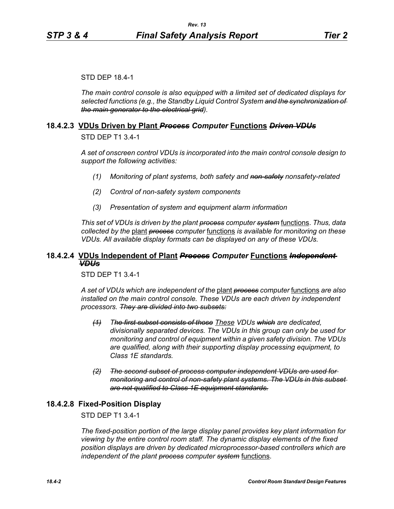#### STD DEP 18.4-1

*The main control console is also equipped with a limited set of dedicated displays for selected functions (e.g., the Standby Liquid Control System and the synchronization of the main generator to the electrical grid).*

#### **18.4.2.3 VDUs Driven by Plant** *Process Computer* **Functions** *Driven VDUs*

STD DEP T1 3.4-1

*A set of onscreen control VDUs is incorporated into the main control console design to support the following activities:*

- *(1) Monitoring of plant systems, both safety and non-safety nonsafety-related*
- *(2) Control of non-safety system components*
- *(3) Presentation of system and equipment alarm information*

*This set of VDUs is driven by the plant process computer system* functions. *Thus, data collected by the* plant *process computer* functions *is available for monitoring on these VDUs. All available display formats can be displayed on any of these VDUs.*

## **18.4.2.4 VDUs Independent of Plant** *Process Computer* **Functions** *Independent VDUs*

STD DEP T1 3.4-1

*A set of VDUs which are independent of the* plant *process computer* functions *are also installed on the main control console. These VDUs are each driven by independent processors. They are divided into two subsets:*

- *(1) The first subset consists of those These VDUs which are dedicated, divisionally separated devices. The VDUs in this group can only be used for monitoring and control of equipment within a given safety division. The VDUs are qualified, along with their supporting display processing equipment, to Class 1E standards.*
- *(2) The second subset of process computer independent VDUs are used for monitoring and control of non-safety plant systems. The VDUs in this subset are not qualified to Class 1E equipment standards.*

## **18.4.2.8 Fixed-Position Display**

STD DEP T1 3.4-1

*The fixed-position portion of the large display panel provides key plant information for viewing by the entire control room staff. The dynamic display elements of the fixed position displays are driven by dedicated microprocessor-based controllers which are independent of the plant process computer system* functions.